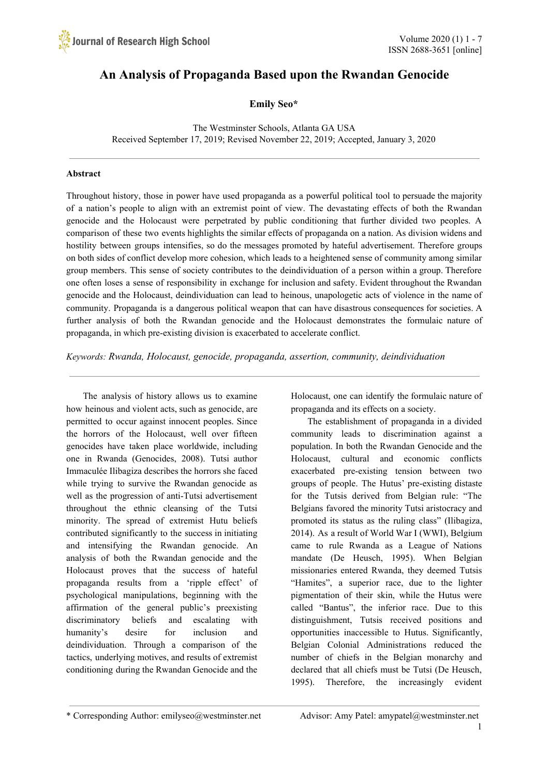# **An Analysis of Propaganda Based upon the Rwandan Genocide**

**Emily Seo\***

The Westminster Schools, Atlanta GA USA Received September 17, 2019; Revised November 22, 2019; Accepted, January 3, 2020

# **Abstract**

Throughout history, those in power have used propaganda as a powerful political tool to persuade the majority of a nation's people to align with an extremist point of view. The devastating effects of both the Rwandan genocide and the Holocaust were perpetrated by public conditioning that further divided two peoples. A comparison of these two events highlights the similar effects of propaganda on a nation. As division widens and hostility between groups intensifies, so do the messages promoted by hateful advertisement. Therefore groups on both sides of conflict develop more cohesion, which leads to a heightened sense of community among similar group members. This sense of society contributes to the deindividuation of a person within a group. Therefore one often loses a sense of responsibility in exchange for inclusion and safety. Evident throughout the Rwandan genocide and the Holocaust, deindividuation can lead to heinous, unapologetic acts of violence in the name of community. Propaganda is a dangerous political weapon that can have disastrous consequences for societies. A further analysis of both the Rwandan genocide and the Holocaust demonstrates the formulaic nature of propaganda, in which pre-existing division is exacerbated to accelerate conflict.

*Keywords: Rwanda, Holocaust, genocide, propaganda, assertion, community, deindividuation*

The analysis of history allows us to examine how heinous and violent acts, such as genocide, are permitted to occur against innocent peoples. Since the horrors of the Holocaust, well over fifteen genocides have taken place worldwide, including one in Rwanda (Genocides, 2008). Tutsi author Immaculée Ilibagiza describes the horrors she faced while trying to survive the Rwandan genocide as well as the progression of anti-Tutsi advertisement throughout the ethnic cleansing of the Tutsi minority. The spread of extremist Hutu beliefs contributed significantly to the success in initiating and intensifying the Rwandan genocide. An analysis of both the Rwandan genocide and the Holocaust proves that the success of hateful propaganda results from a 'ripple effect' of psychological manipulations, beginning with the affirmation of the general public's preexisting discriminatory beliefs and escalating with humanity's desire for inclusion and deindividuation. Through a comparison of the tactics, underlying motives, and results of extremist conditioning during the Rwandan Genocide and the

Holocaust, one can identify the formulaic nature of propaganda and its effects on a society.

The establishment of propaganda in a divided community leads to discrimination against a population. In both the Rwandan Genocide and the Holocaust, cultural and economic conflicts exacerbated pre-existing tension between two groups of people. The Hutus' pre-existing distaste for the Tutsis derived from Belgian rule: "The Belgians favored the minority Tutsi aristocracy and promoted its status as the ruling class" (Ilibagiza, 2014). As a result of World War I (WWI), Belgium came to rule Rwanda as a League of Nations mandate (De Heusch, 1995). When Belgian missionaries entered Rwanda, they deemed Tutsis "Hamites", a superior race, due to the lighter pigmentation of their skin, while the Hutus were called "Bantus", the inferior race. Due to this distinguishment, Tutsis received positions and opportunities inaccessible to Hutus. Significantly, Belgian Colonial Administrations reduced the number of chiefs in the Belgian monarchy and declared that all chiefs must be Tutsi (De Heusch, 1995). Therefore, the increasingly evident

1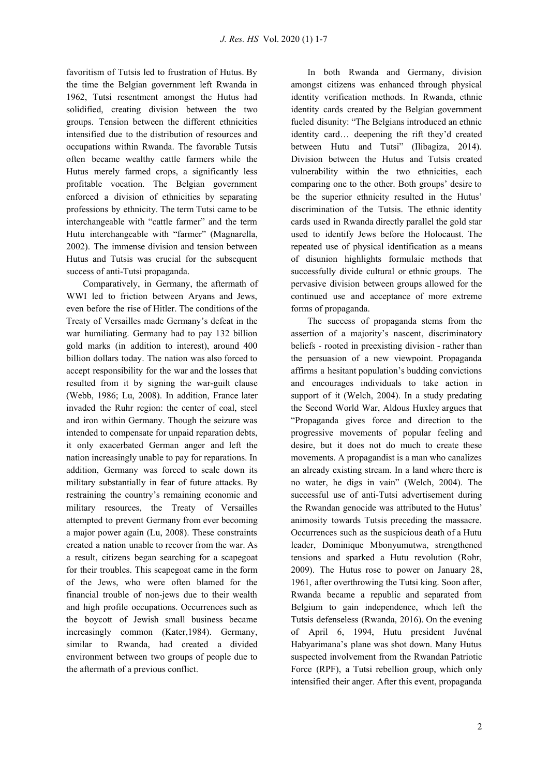favoritism of Tutsis led to frustration of Hutus. By the time the Belgian government left Rwanda in 1962, Tutsi resentment amongst the Hutus had solidified, creating division between the two groups. Tension between the different ethnicities intensified due to the distribution of resources and occupations within Rwanda. The favorable Tutsis often became wealthy cattle farmers while the Hutus merely farmed crops, a significantly less profitable vocation. The Belgian government enforced a division of ethnicities by separating professions by ethnicity. The term Tutsi came to be interchangeable with "cattle farmer" and the term Hutu interchangeable with "farmer" (Magnarella, 2002). The immense division and tension between Hutus and Tutsis was crucial for the subsequent success of anti-Tutsi propaganda.

Comparatively, in Germany, the aftermath of WWI led to friction between Aryans and Jews, even before the rise of Hitler. The conditions of the Treaty of Versailles made Germany's defeat in the war humiliating. Germany had to pay 132 billion gold marks (in addition to interest), around 400 billion dollars today. The nation was also forced to accept responsibility for the war and the losses that resulted from it by signing the war-guilt clause (Webb, 1986; Lu, 2008). In addition, France later invaded the Ruhr region: the center of coal, steel and iron within Germany. Though the seizure was intended to compensate for unpaid reparation debts, it only exacerbated German anger and left the nation increasingly unable to pay for reparations. In addition, Germany was forced to scale down its military substantially in fear of future attacks. By restraining the country's remaining economic and military resources, the Treaty of Versailles attempted to prevent Germany from ever becoming a major power again (Lu, 2008). These constraints created a nation unable to recover from the war. As a result, citizens began searching for a scapegoat for their troubles. This scapegoat came in the form of the Jews, who were often blamed for the financial trouble of non-jews due to their wealth and high profile occupations. Occurrences such as the boycott of Jewish small business became increasingly common (Kater,1984). Germany, similar to Rwanda, had created a divided environment between two groups of people due to the aftermath of a previous conflict.

In both Rwanda and Germany, division amongst citizens was enhanced through physical identity verification methods. In Rwanda, ethnic identity cards created by the Belgian government fueled disunity: "The Belgians introduced an ethnic identity card… deepening the rift they'd created between Hutu and Tutsi" (Ilibagiza, 2014). Division between the Hutus and Tutsis created vulnerability within the two ethnicities, each comparing one to the other. Both groups' desire to be the superior ethnicity resulted in the Hutus' discrimination of the Tutsis. The ethnic identity cards used in Rwanda directly parallel the gold star used to identify Jews before the Holocaust. The repeated use of physical identification as a means of disunion highlights formulaic methods that successfully divide cultural or ethnic groups. The pervasive division between groups allowed for the continued use and acceptance of more extreme forms of propaganda.

The success of propaganda stems from the assertion of a majority's nascent, discriminatory beliefs - rooted in preexisting division - rather than the persuasion of a new viewpoint. Propaganda affirms a hesitant population's budding convictions and encourages individuals to take action in support of it (Welch, 2004). In a study predating the Second World War, Aldous Huxley argues that "Propaganda gives force and direction to the progressive movements of popular feeling and desire, but it does not do much to create these movements. A propagandist is a man who canalizes an already existing stream. In a land where there is no water, he digs in vain" (Welch, 2004). The successful use of anti-Tutsi advertisement during the Rwandan genocide was attributed to the Hutus' animosity towards Tutsis preceding the massacre. Occurrences such as the suspicious death of a Hutu leader, Dominique Mbonyumutwa, strengthened tensions and sparked a Hutu revolution (Rohr, 2009). The Hutus rose to power on January 28, 1961, after overthrowing the Tutsi king. Soon after, Rwanda became a republic and separated from Belgium to gain independence, which left the Tutsis defenseless (Rwanda, 2016). On the evening of April 6, 1994, Hutu president Juvénal Habyarimana's plane was shot down. Many Hutus suspected involvement from the Rwandan Patriotic Force (RPF), a Tutsi rebellion group, which only intensified their anger. After this event, propaganda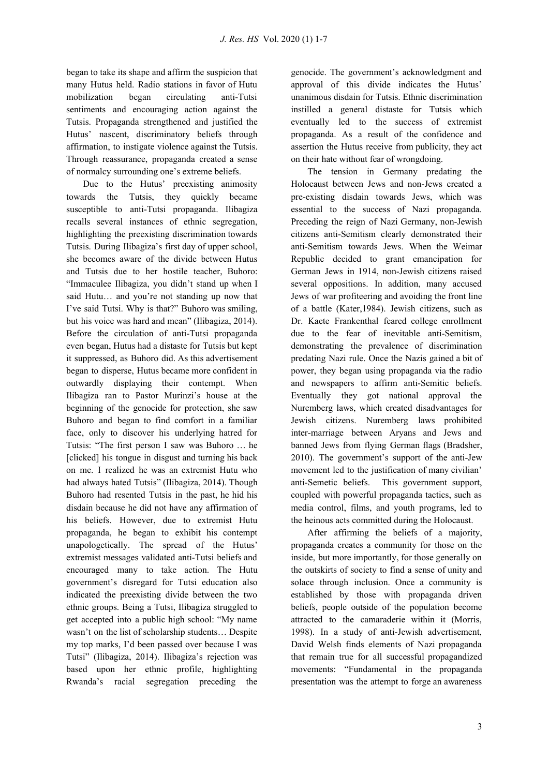began to take its shape and affirm the suspicion that many Hutus held. Radio stations in favor of Hutu mobilization began circulating anti-Tutsi sentiments and encouraging action against the Tutsis. Propaganda strengthened and justified the Hutus' nascent, discriminatory beliefs through affirmation, to instigate violence against the Tutsis. Through reassurance, propaganda created a sense of normalcy surrounding one's extreme beliefs.

Due to the Hutus' preexisting animosity towards the Tutsis, they quickly became susceptible to anti-Tutsi propaganda. Ilibagiza recalls several instances of ethnic segregation, highlighting the preexisting discrimination towards Tutsis. During Ilibagiza's first day of upper school, she becomes aware of the divide between Hutus and Tutsis due to her hostile teacher, Buhoro: "Immaculee Ilibagiza, you didn't stand up when I said Hutu… and you're not standing up now that I've said Tutsi. Why is that?" Buhoro was smiling, but his voice was hard and mean" (Ilibagiza, 2014). Before the circulation of anti-Tutsi propaganda even began, Hutus had a distaste for Tutsis but kept it suppressed, as Buhoro did. As this advertisement began to disperse, Hutus became more confident in outwardly displaying their contempt. When Ilibagiza ran to Pastor Murinzi's house at the beginning of the genocide for protection, she saw Buhoro and began to find comfort in a familiar face, only to discover his underlying hatred for Tutsis: "The first person I saw was Buhoro … he [clicked] his tongue in disgust and turning his back on me. I realized he was an extremist Hutu who had always hated Tutsis" (Ilibagiza, 2014). Though Buhoro had resented Tutsis in the past, he hid his disdain because he did not have any affirmation of his beliefs. However, due to extremist Hutu propaganda, he began to exhibit his contempt unapologetically. The spread of the Hutus' extremist messages validated anti-Tutsi beliefs and encouraged many to take action. The Hutu government's disregard for Tutsi education also indicated the preexisting divide between the two ethnic groups. Being a Tutsi, Ilibagiza struggled to get accepted into a public high school: "My name wasn't on the list of scholarship students… Despite my top marks, I'd been passed over because I was Tutsi" (Ilibagiza, 2014). Ilibagiza's rejection was based upon her ethnic profile, highlighting Rwanda's racial segregation preceding the genocide. The government's acknowledgment and approval of this divide indicates the Hutus' unanimous disdain for Tutsis. Ethnic discrimination instilled a general distaste for Tutsis which eventually led to the success of extremist propaganda. As a result of the confidence and assertion the Hutus receive from publicity, they act on their hate without fear of wrongdoing.

The tension in Germany predating the Holocaust between Jews and non-Jews created a pre-existing disdain towards Jews, which was essential to the success of Nazi propaganda. Preceding the reign of Nazi Germany, non-Jewish citizens anti-Semitism clearly demonstrated their anti-Semitism towards Jews. When the Weimar Republic decided to grant emancipation for German Jews in 1914, non-Jewish citizens raised several oppositions. In addition, many accused Jews of war profiteering and avoiding the front line of a battle (Kater,1984). Jewish citizens, such as Dr. Kaete Frankenthal feared college enrollment due to the fear of inevitable anti-Semitism, demonstrating the prevalence of discrimination predating Nazi rule. Once the Nazis gained a bit of power, they began using propaganda via the radio and newspapers to affirm anti-Semitic beliefs. Eventually they got national approval the Nuremberg laws, which created disadvantages for Jewish citizens. Nuremberg laws prohibited inter-marriage between Aryans and Jews and banned Jews from flying German flags (Bradsher, 2010). The government's support of the anti-Jew movement led to the justification of many civilian' anti-Semetic beliefs. This government support, coupled with powerful propaganda tactics, such as media control, films, and youth programs, led to the heinous acts committed during the Holocaust.

After affirming the beliefs of a majority, propaganda creates a community for those on the inside, but more importantly, for those generally on the outskirts of society to find a sense of unity and solace through inclusion. Once a community is established by those with propaganda driven beliefs, people outside of the population become attracted to the camaraderie within it (Morris, 1998). In a study of anti-Jewish advertisement, David Welsh finds elements of Nazi propaganda that remain true for all successful propagandized movements: "Fundamental in the propaganda presentation was the attempt to forge an awareness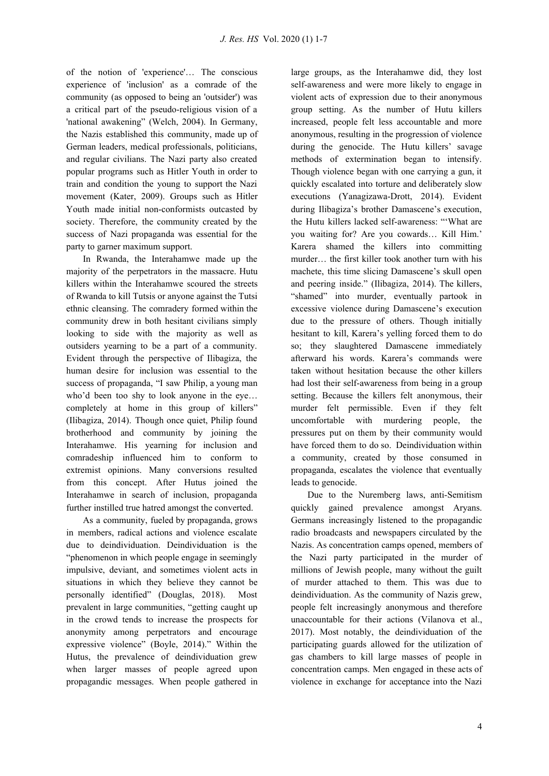of the notion of 'experience'… The conscious experience of 'inclusion' as a comrade of the community (as opposed to being an 'outsider') was a critical part of the pseudo-religious vision of a 'national awakening" (Welch, 2004). In Germany, the Nazis established this community, made up of German leaders, medical professionals, politicians, and regular civilians. The Nazi party also created popular programs such as Hitler Youth in order to train and condition the young to support the Nazi movement (Kater, 2009). Groups such as Hitler Youth made initial non-conformists outcasted by society. Therefore, the community created by the success of Nazi propaganda was essential for the party to garner maximum support.

In Rwanda, the Interahamwe made up the majority of the perpetrators in the massacre. Hutu killers within the Interahamwe scoured the streets of Rwanda to kill Tutsis or anyone against the Tutsi ethnic cleansing. The comradery formed within the community drew in both hesitant civilians simply looking to side with the majority as well as outsiders yearning to be a part of a community. Evident through the perspective of Ilibagiza, the human desire for inclusion was essential to the success of propaganda, "I saw Philip, a young man who'd been too shy to look anyone in the eye... completely at home in this group of killers" (Ilibagiza, 2014). Though once quiet, Philip found brotherhood and community by joining the Interahamwe. His yearning for inclusion and comradeship influenced him to conform to extremist opinions. Many conversions resulted from this concept. After Hutus joined the Interahamwe in search of inclusion, propaganda further instilled true hatred amongst the converted.

As a community, fueled by propaganda, grows in members, radical actions and violence escalate due to deindividuation. Deindividuation is the "phenomenon in which people engage in seemingly impulsive, deviant, and sometimes violent acts in situations in which they believe they cannot be personally identified" (Douglas, 2018). Most prevalent in large communities, "getting caught up in the crowd tends to increase the prospects for anonymity among perpetrators and encourage expressive violence" (Boyle, 2014)." Within the Hutus, the prevalence of deindividuation grew when larger masses of people agreed upon propagandic messages. When people gathered in

large groups, as the Interahamwe did, they lost self-awareness and were more likely to engage in violent acts of expression due to their anonymous group setting. As the number of Hutu killers increased, people felt less accountable and more anonymous, resulting in the progression of violence during the genocide. The Hutu killers' savage methods of extermination began to intensify. Though violence began with one carrying a gun, it quickly escalated into torture and deliberately slow executions (Yanagizawa-Drott, 2014). Evident during Ilibagiza's brother Damascene's execution, the Hutu killers lacked self-awareness: "'What are you waiting for? Are you cowards… Kill Him.' Karera shamed the killers into committing murder… the first killer took another turn with his machete, this time slicing Damascene's skull open and peering inside." (Ilibagiza, 2014). The killers, "shamed" into murder, eventually partook in excessive violence during Damascene's execution due to the pressure of others. Though initially hesitant to kill, Karera's yelling forced them to do so; they slaughtered Damascene immediately afterward his words. Karera's commands were taken without hesitation because the other killers had lost their self-awareness from being in a group setting. Because the killers felt anonymous, their murder felt permissible. Even if they felt uncomfortable with murdering people, the pressures put on them by their community would have forced them to do so. Deindividuation within a community, created by those consumed in propaganda, escalates the violence that eventually leads to genocide.

Due to the Nuremberg laws, anti-Semitism quickly gained prevalence amongst Aryans. Germans increasingly listened to the propagandic radio broadcasts and newspapers circulated by the Nazis. As concentration camps opened, members of the Nazi party participated in the murder of millions of Jewish people, many without the guilt of murder attached to them. This was due to deindividuation. As the community of Nazis grew, people felt increasingly anonymous and therefore unaccountable for their actions (Vilanova et al., 2017). Most notably, the deindividuation of the participating guards allowed for the utilization of gas chambers to kill large masses of people in concentration camps. Men engaged in these acts of violence in exchange for acceptance into the Nazi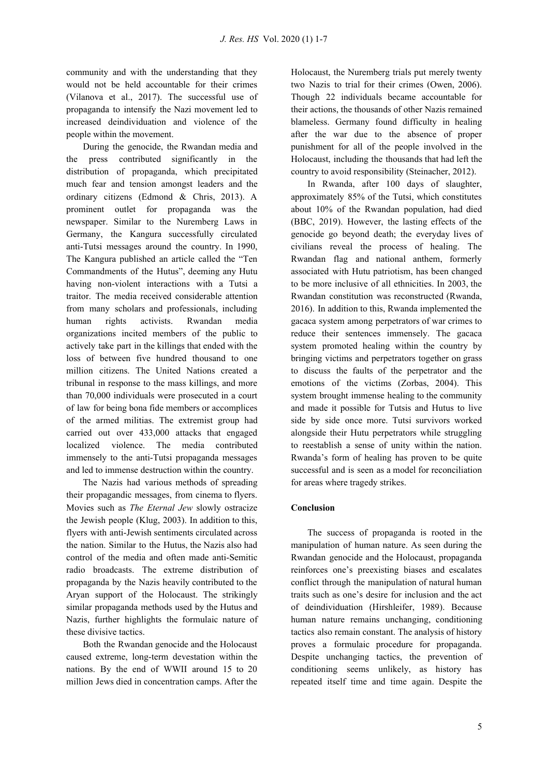community and with the understanding that they would not be held accountable for their crimes (Vilanova et al., 2017). The successful use of propaganda to intensify the Nazi movement led to increased deindividuation and violence of the people within the movement.

During the genocide, the Rwandan media and the press contributed significantly in the distribution of propaganda, which precipitated much fear and tension amongst leaders and the ordinary citizens (Edmond & Chris, 2013). A prominent outlet for propaganda was the newspaper. Similar to the Nuremberg Laws in Germany, the Kangura successfully circulated anti-Tutsi messages around the country. In 1990, The Kangura published an article called the "Ten Commandments of the Hutus", deeming any Hutu having non-violent interactions with a Tutsi a traitor. The media received considerable attention from many scholars and professionals, including human rights activists. Rwandan media organizations incited members of the public to actively take part in the killings that ended with the loss of between five hundred thousand to one million citizens. The United Nations created a tribunal in response to the mass killings, and more than 70,000 individuals were prosecuted in a court of law for being bona fide members or accomplices of the armed militias. The extremist group had carried out over 433,000 attacks that engaged localized violence. The media contributed immensely to the anti-Tutsi propaganda messages and led to immense destruction within the country.

The Nazis had various methods of spreading their propagandic messages, from cinema to flyers. Movies such as *The Eternal Jew* slowly ostracize the Jewish people (Klug, 2003). In addition to this, flyers with anti-Jewish sentiments circulated across the nation. Similar to the Hutus, the Nazis also had control of the media and often made anti-Semitic radio broadcasts. The extreme distribution of propaganda by the Nazis heavily contributed to the Aryan support of the Holocaust. The strikingly similar propaganda methods used by the Hutus and Nazis, further highlights the formulaic nature of these divisive tactics.

Both the Rwandan genocide and the Holocaust caused extreme, long-term devestation within the nations. By the end of WWII around 15 to 20 million Jews died in concentration camps. After the Holocaust, the Nuremberg trials put merely twenty two Nazis to trial for their crimes (Owen, 2006). Though 22 individuals became accountable for their actions, the thousands of other Nazis remained blameless. Germany found difficulty in healing after the war due to the absence of proper punishment for all of the people involved in the Holocaust, including the thousands that had left the country to avoid responsibility (Steinacher, 2012).

In Rwanda, after 100 days of slaughter, approximately 85% of the Tutsi, which constitutes about 10% of the Rwandan population, had died (BBC, 2019). However, the lasting effects of the genocide go beyond death; the everyday lives of civilians reveal the process of healing. The Rwandan flag and national anthem, formerly associated with Hutu patriotism, has been changed to be more inclusive of all ethnicities. In 2003, the Rwandan constitution was reconstructed (Rwanda, 2016). In addition to this, Rwanda implemented the gacaca system among perpetrators of war crimes to reduce their sentences immensely. The gacaca system promoted healing within the country by bringing victims and perpetrators together on grass to discuss the faults of the perpetrator and the emotions of the victims (Zorbas, 2004). This system brought immense healing to the community and made it possible for Tutsis and Hutus to live side by side once more. Tutsi survivors worked alongside their Hutu perpetrators while struggling to reestablish a sense of unity within the nation. Rwanda's form of healing has proven to be quite successful and is seen as a model for reconciliation for areas where tragedy strikes.

# **Conclusion**

The success of propaganda is rooted in the manipulation of human nature. As seen during the Rwandan genocide and the Holocaust, propaganda reinforces one's preexisting biases and escalates conflict through the manipulation of natural human traits such as one's desire for inclusion and the act of deindividuation (Hirshleifer, 1989). Because human nature remains unchanging, conditioning tactics also remain constant. The analysis of history proves a formulaic procedure for propaganda. Despite unchanging tactics, the prevention of conditioning seems unlikely, as history has repeated itself time and time again. Despite the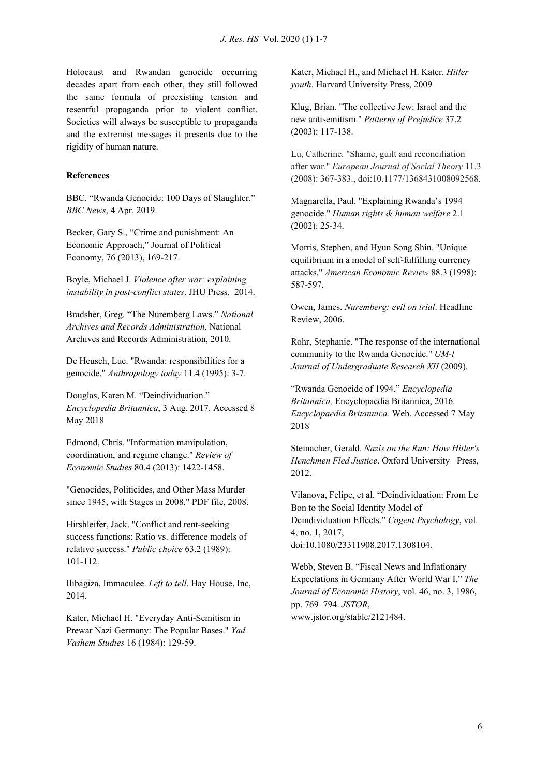Holocaust and Rwandan genocide occurring decades apart from each other, they still followed the same formula of preexisting tension and resentful propaganda prior to violent conflict. Societies will always be susceptible to propaganda and the extremist messages it presents due to the rigidity of human nature.

## **References**

BBC. "Rwanda Genocide: 100 Days of Slaughter." *BBC News*, 4 Apr. 2019.

Becker, Gary S., "Crime and punishment: An Economic Approach," Journal of Political Economy, 76 (2013), 169-217.

Boyle, Michael J. *Violence after war: explaining instability in post-conflict states*. JHU Press, 2014.

Bradsher, Greg. "The Nuremberg Laws." *National Archives and Records Administration*, National Archives and Records Administration, 2010.

De Heusch, Luc. "Rwanda: responsibilities for a genocide." *Anthropology today* 11.4 (1995): 3-7.

Douglas, Karen M. "Deindividuation." *Encyclopedia Britannica*, 3 Aug. 2017*.* Accessed 8 May 2018

Edmond, Chris. "Information manipulation, coordination, and regime change." *Review of Economic Studies* 80.4 (2013): 1422-1458.

"Genocides, Politicides, and Other Mass Murder since 1945, with Stages in 2008." PDF file, 2008.

Hirshleifer, Jack. "Conflict and rent-seeking success functions: Ratio vs. difference models of relative success." *Public choice* 63.2 (1989): 101-112.

Ilibagiza, Immaculée. *Left to tell*. Hay House, Inc, 2014.

Kater, Michael H. "Everyday Anti-Semitism in Prewar Nazi Germany: The Popular Bases." *Yad Vashem Studies* 16 (1984): 129-59.

Kater, Michael H., and Michael H. Kater. *Hitler youth*. Harvard University Press, 2009

Klug, Brian. "The collective Jew: Israel and the new antisemitism." *Patterns of Prejudice* 37.2 (2003): 117-138.

Lu, Catherine. "Shame, guilt and reconciliation after war." *European Journal of Social Theory* 11.3 (2008): 367-383., doi:10.1177/1368431008092568.

Magnarella, Paul. "Explaining Rwanda's 1994 genocide." *Human rights & human welfare* 2.1 (2002): 25-34.

Morris, Stephen, and Hyun Song Shin. "Unique equilibrium in a model of self-fulfilling currency attacks." *American Economic Review* 88.3 (1998): 587-597.

Owen, James. *Nuremberg: evil on trial*. Headline Review, 2006.

Rohr, Stephanie. "The response of the international community to the Rwanda Genocide." *UM-l Journal of Undergraduate Research XII* (2009).

"Rwanda Genocide of 1994." *Encyclopedia Britannica,* Encyclopaedia Britannica, 2016. *Encyclopaedia Britannica.* Web. Accessed 7 May 2018

Steinacher, Gerald. *Nazis on the Run: How Hitler's Henchmen Fled Justice*. Oxford University Press, 2012.

Vilanova, Felipe, et al. "Deindividuation: From Le Bon to the Social Identity Model of Deindividuation Effects." *Cogent Psychology*, vol. 4, no. 1, 2017, doi:10.1080/23311908.2017.1308104.

Webb, Steven B. "Fiscal News and Inflationary Expectations in Germany After World War I." *The Journal of Economic History*, vol. 46, no. 3, 1986, pp. 769–794. *JSTOR*, www.jstor.org/stable/2121484.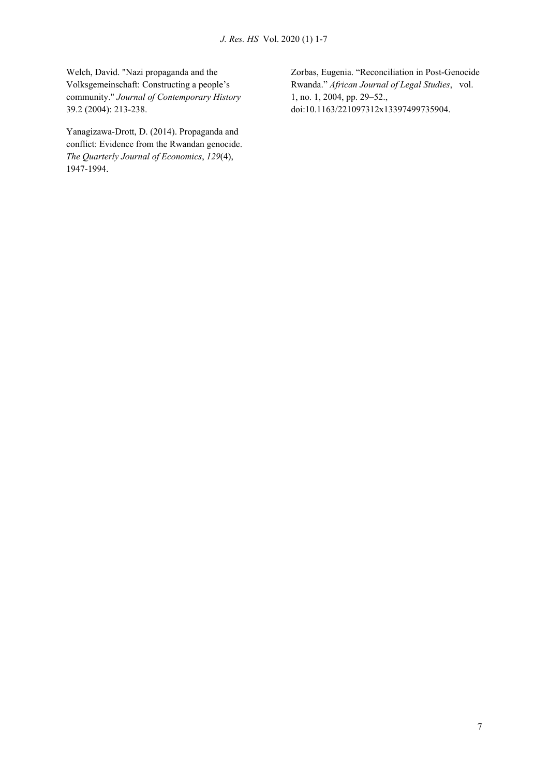Welch, David. "Nazi propaganda and the Volksgemeinschaft: Constructing a people's community." *Journal of Contemporary History* 39.2 (2004): 213-238.

Yanagizawa-Drott, D. (2014). Propaganda and conflict: Evidence from the Rwandan genocide. *The Quarterly Journal of Economics*, *129*(4), 1947-1994.

Zorbas, Eugenia. "Reconciliation in Post-Genocide Rwanda." *African Journal of Legal Studies*, vol. 1, no. 1, 2004, pp. 29–52., doi:10.1163/221097312x13397499735904.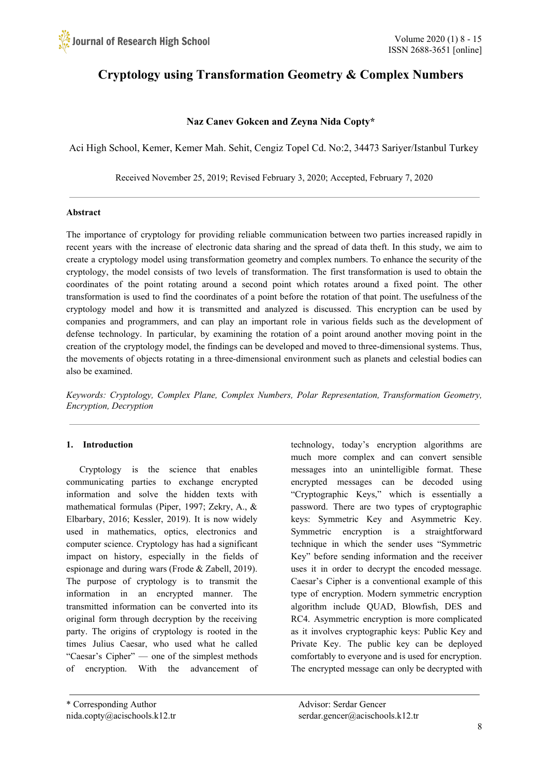# **Cryptology using Transformation Geometry & Complex Numbers**

# **Naz Canev Gokcen and Zeyna Nida Copty\***

Aci High School, Kemer, Kemer Mah. Sehit, Cengiz Topel Cd. No:2, 34473 Sariyer/Istanbul Turkey

Received November 25, 2019; Revised February 3, 2020; Accepted, February 7, 2020

## **Abstract**

The importance of cryptology for providing reliable communication between two parties increased rapidly in recent years with the increase of electronic data sharing and the spread of data theft. In this study, we aim to create a cryptology model using transformation geometry and complex numbers. To enhance the security of the cryptology, the model consists of two levels of transformation. The first transformation is used to obtain the coordinates of the point rotating around a second point which rotates around a fixed point. The other transformation is used to find the coordinates of a point before the rotation of that point. The usefulness of the cryptology model and how it is transmitted and analyzed is discussed. This encryption can be used by companies and programmers, and can play an important role in various fields such as the development of defense technology. In particular, by examining the rotation of a point around another moving point in the creation of the cryptology model, the findings can be developed and moved to three-dimensional systems. Thus, the movements of objects rotating in a three-dimensional environment such as planets and celestial bodies can also be examined.

*Keywords: Cryptology, Complex Plane, Complex Numbers, Polar Representation, Transformation Geometry, Encryption, Decryption*

## **1. Introduction**

Cryptology is the science that enables communicating parties to exchange encrypted information and solve the hidden texts with mathematical formulas (Piper, 1997; Zekry, A., & Elbarbary, 2016; Kessler, 2019). It is now widely used in mathematics, optics, electronics and computer science. Cryptology has had a significant impact on history, especially in the fields of espionage and during wars (Frode & Zabell, 2019). The purpose of cryptology is to transmit the information in an encrypted manner. The transmitted information can be converted into its original form through decryption by the receiving party. The origins of cryptology is rooted in the times Julius Caesar, who used what he called "Caesar's Cipher" — one of the simplest methods of encryption. With the advancement of technology, today's encryption algorithms are much more complex and can convert sensible messages into an unintelligible format. These encrypted messages can be decoded using "Cryptographic Keys," which is essentially a password. There are two types of cryptographic keys: Symmetric Key and Asymmetric Key. Symmetric encryption is a straightforward technique in which the sender uses "Symmetric Key" before sending information and the receiver uses it in order to decrypt the encoded message. Caesar's Cipher is a conventional example of this type of encryption. Modern symmetric encryption algorithm include QUAD, Blowfish, DES and RC4. Asymmetric encryption is more complicated as it involves cryptographic keys: Public Key and Private Key. The public key can be deployed comfortably to everyone and is used for encryption. The encrypted message can only be decrypted with

<sup>\*</sup> Corresponding Author Advisor: Serdar Gencer

nida.copty@acischools.k12.tr serdar.gencer@acischools.k12.tr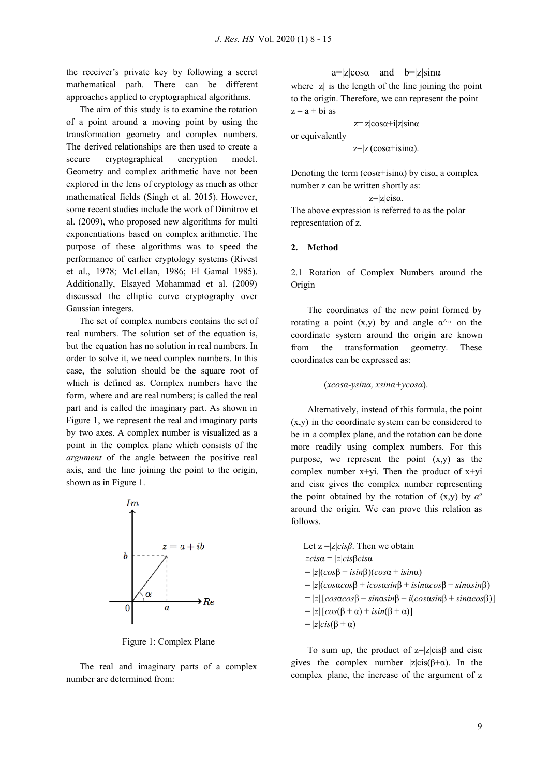the receiver's private key by following a secret mathematical path. There can be different approaches applied to cryptographical algorithms.

The aim of this study is to examine the rotation of a point around a moving point by using the transformation geometry and complex numbers. The derived relationships are then used to create a secure cryptographical encryption model. Geometry and complex arithmetic have not been explored in the lens of cryptology as much as other mathematical fields (Singh et al. 2015). However, some recent studies include the work of Dimitrov et al. (2009), who proposed new algorithms for multi exponentiations based on complex arithmetic. The purpose of these algorithms was to speed the performance of earlier cryptology systems (Rivest et al., 1978; McLellan, 1986; El Gamal 1985). Additionally, Elsayed Mohammad et al. (2009) discussed the elliptic curve cryptography over Gaussian integers.

The set of complex numbers contains the set of real numbers. The solution set of the equation is, but the equation has no solution in real numbers. In order to solve it, we need complex numbers. In this case, the solution should be the square root of which is defined as. Complex numbers have the form, where and are real numbers; is called the real part and is called the imaginary part. As shown in Figure 1, we represent the real and imaginary parts by two axes. A complex number is visualized as a point in the complex plane which consists of the *argument* of the angle between the positive real axis, and the line joining the point to the origin, shown as in Figure 1.



Figure 1: Complex Plane

The real and imaginary parts of a complex number are determined from:

 $a=|z|\cos\alpha$  and  $b=|z|\sin\alpha$ where  $|z|$  is the length of the line joining the point to the origin. Therefore, we can represent the point  $z = a + bi$  as

 $z=|z|\cos\alpha+i|z|\sin\alpha$ or equivalently  $z=|z|(\cos\alpha+\text{isin}\alpha)$ .

Denoting the term  $(cos\alpha + isin\alpha)$  by cisa, a complex number z can be written shortly as:

 $z=|z|cis\alpha$ .

The above expression is referred to as the polar representation of z.

#### **2. Method**

2.1 Rotation of Complex Numbers around the Origin

The coordinates of the new point formed by rotating a point  $(x,y)$  by and angle  $\alpha^{\wedge} \circ$  on the coordinate system around the origin are known from the transformation geometry. These coordinates can be expressed as:

```
(xcosα-ysinα, xsinα+ycosα).
```
Alternatively, instead of this formula, the point (x,y) in the coordinate system can be considered to be in a complex plane, and the rotation can be done more readily using complex numbers. For this purpose, we represent the point  $(x,y)$  as the complex number  $x+y$ . Then the product of  $x+y$ and cisα gives the complex number representing the point obtained by the rotation of  $(x,y)$  by  $\alpha^{\circ}$ around the origin. We can prove this relation as follows.

Let z =|z|*cisβ*. Then we obtain *zcis*α = |*z*|*cis*β*cis*α = |*z*|(*cos*β + *isin*β)(*cos*α + *isin*α) = |*z*|(*cos*α*cos*β + *icos*α*sin*β + *isin*α*cos*β − *sin*α*sin*β)  $= |z| [\cos\alpha\cos\beta - \sin\alpha\sin\beta + i(\cos\alpha\sin\beta + \sin\alpha\cos\beta)]$  $= |z| [\cos(\beta + \alpha) + i\sin(\beta + \alpha)]$  $= |z| cis(\beta + \alpha)$ 

To sum up, the product of  $z=|z|cis\beta$  and cisa gives the complex number  $|z| cis(\beta+\alpha)$ . In the complex plane, the increase of the argument of z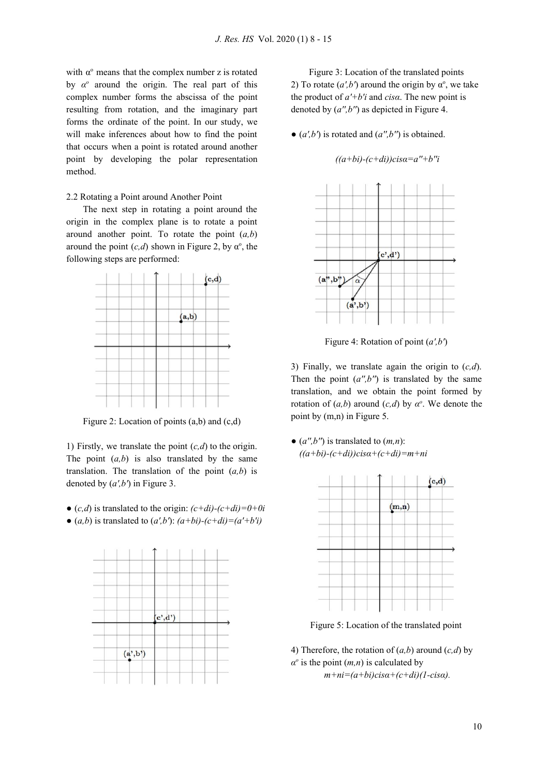with  $\alpha^{\circ}$  means that the complex number z is rotated by  $\alpha^{\circ}$  around the origin. The real part of this complex number forms the abscissa of the point resulting from rotation, and the imaginary part forms the ordinate of the point. In our study, we will make inferences about how to find the point that occurs when a point is rotated around another point by developing the polar representation method.

2.2 Rotating a Point around Another Point

The next step in rotating a point around the origin in the complex plane is to rotate a point around another point. To rotate the point (*a,b*) around the point  $(c,d)$  shown in Figure 2, by  $\alpha^{\circ}$ , the following steps are performed:



Figure 2: Location of points (a,b) and (c,d)

1) Firstly, we translate the point (*c,d*) to the origin. The point  $(a,b)$  is also translated by the same translation. The translation of the point (*a,b*) is denoted by (*a',b'*) in Figure 3.

- $\bullet$  (*c,d*) is translated to the origin:  $(c+di)-(c+di)=0+0i$
- $(a,b)$  is translated to  $(a',b')$ :  $(a+bi)-(c+di)=(a'+b'i)$



Figure 3: Location of the translated points 2) To rotate  $(a', b')$  around the origin by  $\alpha^{\circ}$ , we take the product of *a'+b'i* and *cisα*. The new point is denoted by (*a'',b''*) as depicted in Figure 4.

 $\bullet$  ( $a', b'$ ) is rotated and ( $a'', b''$ ) is obtained.

*((a+bi)-(c+di))cisα=a''+b''i*



Figure 4: Rotation of point (*a',b'*)

3) Finally, we translate again the origin to (*c,d*). Then the point  $(a'', b'')$  is translated by the same translation, and we obtain the point formed by rotation of  $(a,b)$  around  $(c,d)$  by  $\alpha^o$ . We denote the point by (m,n) in Figure 5.

 $\bullet$  (*a'',b''*) is translated to (*m,n*): *((a+bi)-(c+di))cisα+(c+di)=m+ni*



Figure 5: Location of the translated point

4) Therefore, the rotation of (*a,b*) around (*c,d*) by  $\alpha^{\circ}$  is the point  $(m, n)$  is calculated by *m+ni=(a+bi)cisα+(c+di)(1-cisα).*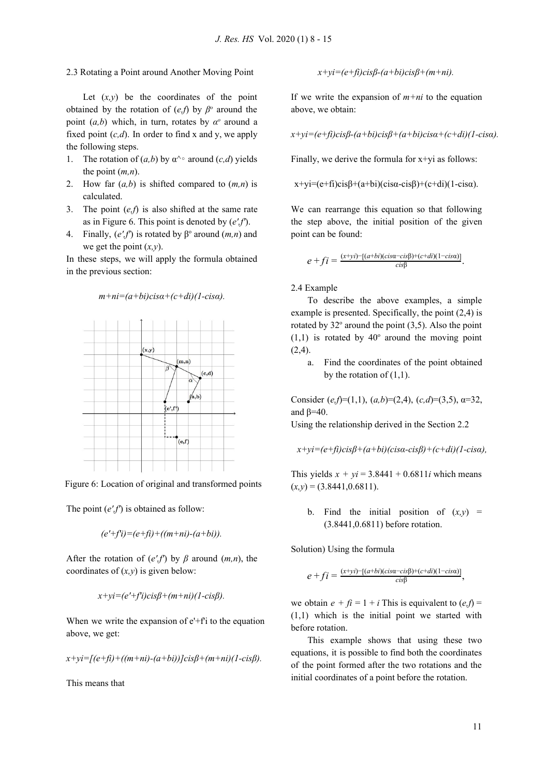#### 2.3 Rotating a Point around Another Moving Point

Let  $(x, y)$  be the coordinates of the point obtained by the rotation of  $(e,f)$  by  $\beta^{\circ}$  around the point  $(a,b)$  which, in turn, rotates by  $\alpha^{\circ}$  around a fixed point  $(c,d)$ . In order to find x and y, we apply the following steps.

- 1. The rotation of  $(a,b)$  by  $\alpha^{\wedge} \circ$  around  $(c,d)$  yields the point (*m,n*).
- 2. How far (*a,b*) is shifted compared to (*m,n*) is calculated.
- 3. The point (*e,f*) is also shifted at the same rate as in Figure 6. This point is denoted by (*e',f'*).
- 4. Finally,  $(e'$ , f') is rotated by  $\beta^{\circ}$  around  $(m, n)$  and we get the point (*x,y*).

In these steps, we will apply the formula obtained in the previous section:

### *m+ni=(a+bi)cisα+(c+di)(1-cisα).*



Figure 6: Location of original and transformed points

The point (*e',f'*) is obtained as follow:

$$
(e'+fi)=(e+fi)+((m+ni)-(a+bi)).
$$

After the rotation of  $(e',f')$  by  $\beta$  around  $(m,n)$ , the coordinates of (*x,y*) is given below:

$$
x+yi=(e'+fi)cis\beta+(m+ni)(1-cis\beta).
$$

When we write the expansion of  $e^t$ -f'i to the equation above, we get:

$$
x+yi=[(e+fi)+((m+ni)-(a+bi))]cis\beta+(m+ni)(1-cis\beta).
$$

This means that

*x+yi=(e+fi)cisβ-(a+bi)cisβ+(m+ni).*

If we write the expansion of  $m+ni$  to the equation above, we obtain:

*x+yi=(e+fi)cisβ-(a+bi)cisβ+(a+bi)cisα+(c+di)(1-cisα).*

Finally, we derive the formula for x+yi as follows:

$$
x+yi=(e+fi)cis\beta+(a+bi)(cis\alpha-cis\beta)+(c+di)(1-cis\alpha).
$$

We can rearrange this equation so that following the step above, the initial position of the given point can be found:

$$
e + fi = \frac{(x+yi)-[(a+bi)(cis\alpha-cis\beta)+(c+di)(1-cis\alpha)]}{cis\beta}.
$$

#### 2.4 Example

To describe the above examples, a simple example is presented. Specifically, the point (2,4) is rotated by  $32^{\circ}$  around the point  $(3,5)$ . Also the point  $(1,1)$  is rotated by 40 $\degree$  around the moving point  $(2,4)$ .

a. Find the coordinates of the point obtained by the rotation of  $(1,1)$ .

Consider (*e,f*)=(1,1), (*a,b*)=(2,4), (*c,d*)=(3,5), α=32, and  $β=40$ .

Using the relationship derived in the Section 2.2

$$
x+yi=(e+f\hat{i})cis\beta+(a+b\hat{i})(cis\alpha-cis\beta)+(c+di)(1-cis\alpha),
$$

This yields  $x + yi = 3.8441 + 0.6811i$  which means  $(x,y) = (3.8441, 0.6811).$ 

b. Find the initial position of  $(x,y)$  = (3.8441,0.6811) before rotation.

Solution) Using the formula

$$
e+f_i=\frac{(x+yi)-[(a+bi)(cis\alpha-cis\beta)+(c+di)(1-cisa)]}{cis\beta},
$$

we obtain  $e + f_i = 1 + i$  This is equivalent to  $(e, f) =$ (1,1) which is the initial point we started with before rotation.

This example shows that using these two equations, it is possible to find both the coordinates of the point formed after the two rotations and the initial coordinates of a point before the rotation.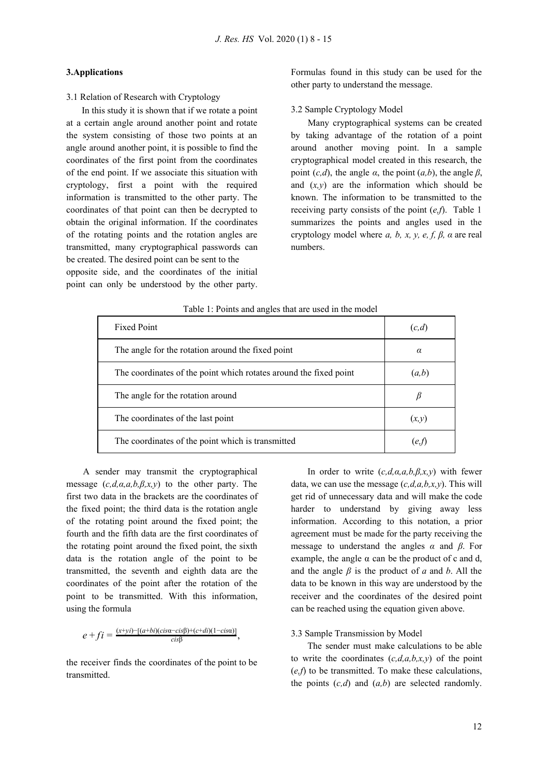## **3.Applications**

3.1 Relation of Research with Cryptology

In this study it is shown that if we rotate a point at a certain angle around another point and rotate the system consisting of those two points at an angle around another point, it is possible to find the coordinates of the first point from the coordinates of the end point. If we associate this situation with cryptology, first a point with the required information is transmitted to the other party. The coordinates of that point can then be decrypted to obtain the original information. If the coordinates of the rotating points and the rotation angles are transmitted, many cryptographical passwords can be created. The desired point can be sent to the opposite side, and the coordinates of the initial point can only be understood by the other party.

Formulas found in this study can be used for the other party to understand the message.

## 3.2 Sample Cryptology Model

Many cryptographical systems can be created by taking advantage of the rotation of a point around another moving point. In a sample cryptographical model created in this research, the point  $(c,d)$ , the angle  $\alpha$ , the point  $(a,b)$ , the angle  $\beta$ , and  $(x, y)$  are the information which should be known. The information to be transmitted to the receiving party consists of the point (*e,f*). Table 1 summarizes the points and angles used in the cryptology model where  $a$ ,  $b$ ,  $x$ ,  $y$ ,  $e$ ,  $f$ ,  $\beta$ ,  $\alpha$  are real numbers.

| <b>Fixed Point</b>                                                | (c,d)    |
|-------------------------------------------------------------------|----------|
| The angle for the rotation around the fixed point                 | $\alpha$ |
| The coordinates of the point which rotates around the fixed point | (a,b)    |
| The angle for the rotation around                                 |          |
| The coordinates of the last point                                 | (x,y)    |
| The coordinates of the point which is transmitted                 | e.t      |

#### Table 1: Points and angles that are used in the model

A sender may transmit the cryptographical message (*c,d,α,a,b,β,x,y*) to the other party. The first two data in the brackets are the coordinates of the fixed point; the third data is the rotation angle of the rotating point around the fixed point; the fourth and the fifth data are the first coordinates of the rotating point around the fixed point, the sixth data is the rotation angle of the point to be transmitted, the seventh and eighth data are the coordinates of the point after the rotation of the point to be transmitted. With this information, using the formula

$$
e + fi = \frac{(x+yi) - [(a+bi)(cis\alpha - cis\beta) + (c+di)(1-cisa)]}{cis\beta},
$$

the receiver finds the coordinates of the point to be transmitted.

In order to write (*c,d,α,a,b,β,x,y*) with fewer data, we can use the message (*c,d,a,b,x,y*). This will get rid of unnecessary data and will make the code harder to understand by giving away less information. According to this notation, a prior agreement must be made for the party receiving the message to understand the angles *α* and *β*. For example, the angle  $\alpha$  can be the product of c and d, and the angle *β* is the product of *a* and *b*. All the data to be known in this way are understood by the receiver and the coordinates of the desired point can be reached using the equation given above.

#### 3.3 Sample Transmission by Model

The sender must make calculations to be able to write the coordinates  $(c,d,a,b,x,y)$  of the point (*e,f*) to be transmitted. To make these calculations, the points  $(c,d)$  and  $(a,b)$  are selected randomly.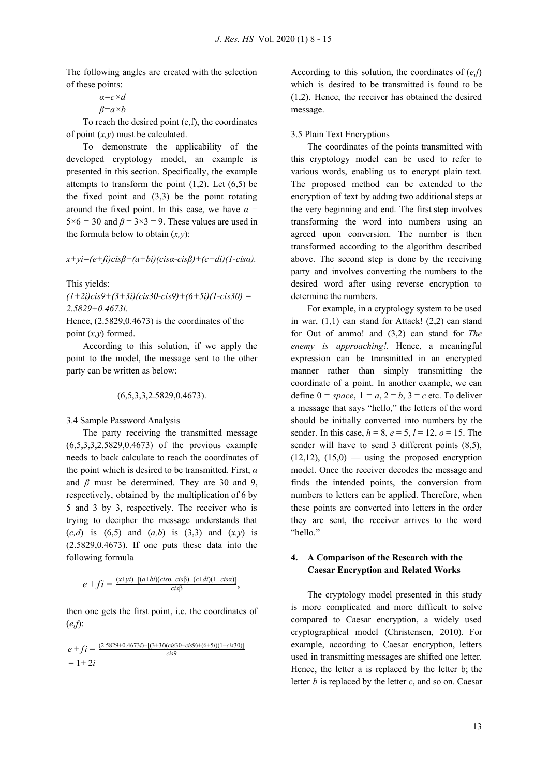The following angles are created with the selection of these points:

$$
a = c \times d
$$

$$
\beta = a \times b
$$

To reach the desired point (e,f), the coordinates of point (*x,y*) must be calculated.

To demonstrate the applicability of the developed cryptology model, an example is presented in this section. Specifically, the example attempts to transform the point  $(1,2)$ . Let  $(6,5)$  be the fixed point and (3,3) be the point rotating around the fixed point. In this case, we have  $\alpha$  =  $5\times6 = 30$  and  $\beta = 3\times3 = 9$ . These values are used in the formula below to obtain  $(x, y)$ :

#### *x+yi=(e+fi)cisβ+(a+bi)(cisα-cisβ)+(c+di)(1-cisα).*

This yields:

*(1+2i)cis9+(3+3i)(cis30-cis9)+(6+5i)(1-cis30) = 2.5829+0.4673i.*

Hence, (2.5829,0.4673) is the coordinates of the point (*x,y*) formed.

According to this solution, if we apply the point to the model, the message sent to the other party can be written as below:

(6,5,3,3,2.5829,0.4673).

3.4 Sample Password Analysis

The party receiving the transmitted message (6,5,3,3,2.5829,0.4673) of the previous example needs to back calculate to reach the coordinates of the point which is desired to be transmitted. First, *α* and  $\beta$  must be determined. They are 30 and 9, respectively, obtained by the multiplication of 6 by 5 and 3 by 3, respectively. The receiver who is trying to decipher the message understands that (*c,d*) is (6,5) and (*a,b*) is (3,3) and (*x,y*) is (2.5829,0.4673). If one puts these data into the following formula

$$
e + fi = \frac{(x+yi)-[(a+bi)(cis\alpha-cis\beta)+(c+di)(1-cis\alpha)]}{cis\beta},
$$

then one gets the first point, i.e. the coordinates of (*e,f*):

$$
e + fi = \frac{(2.5829 + 0.4673i) - [(3 + 3i)(cis30 - cis9) + (6 + 5i)(1 - cis30)]}{cis9}
$$
  
= 1 + 2i

According to this solution, the coordinates of (*e,f*) which is desired to be transmitted is found to be (1,2). Hence, the receiver has obtained the desired message.

#### 3.5 Plain Text Encryptions

The coordinates of the points transmitted with this cryptology model can be used to refer to various words, enabling us to encrypt plain text. The proposed method can be extended to the encryption of text by adding two additional steps at the very beginning and end. The first step involves transforming the word into numbers using an agreed upon conversion. The number is then transformed according to the algorithm described above. The second step is done by the receiving party and involves converting the numbers to the desired word after using reverse encryption to determine the numbers.

For example, in a cryptology system to be used in war, (1,1) can stand for Attack! (2,2) can stand for Out of ammo! and (3,2) can stand for *The enemy is approaching!*. Hence, a meaningful expression can be transmitted in an encrypted manner rather than simply transmitting the coordinate of a point. In another example, we can define  $0 = space$ ,  $1 = a$ ,  $2 = b$ ,  $3 = c$  etc. To deliver a message that says "hello," the letters of the word should be initially converted into numbers by the sender. In this case, *h* = 8, *e* = 5, *l* = 12, *o* = 15. The sender will have to send 3 different points (8,5),  $(12,12)$ ,  $(15,0)$  — using the proposed encryption model. Once the receiver decodes the message and finds the intended points, the conversion from numbers to letters can be applied. Therefore, when these points are converted into letters in the order they are sent, the receiver arrives to the word "hello."

# **4. A Comparison of the Research with the Caesar Encryption and Related Works**

The cryptology model presented in this study is more complicated and more difficult to solve compared to Caesar encryption, a widely used cryptographical model (Christensen, 2010). For example, according to Caesar encryption, letters used in transmitting messages are shifted one letter. Hence, the letter a is replaced by the letter b; the letter *b* is replaced by the letter *c*, and so on. Caesar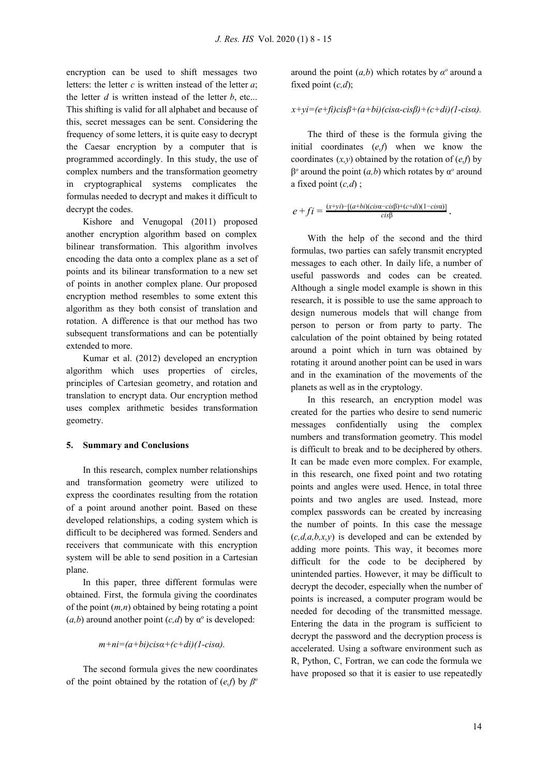encryption can be used to shift messages two letters: the letter *c* is written instead of the letter *a*; the letter  $d$  is written instead of the letter  $b$ , etc... This shifting is valid for all alphabet and because of this, secret messages can be sent. Considering the frequency of some letters, it is quite easy to decrypt the Caesar encryption by a computer that is programmed accordingly. In this study, the use of complex numbers and the transformation geometry in cryptographical systems complicates the formulas needed to decrypt and makes it difficult to decrypt the codes.

Kishore and Venugopal (2011) proposed another encryption algorithm based on complex bilinear transformation. This algorithm involves encoding the data onto a complex plane as a set of points and its bilinear transformation to a new set of points in another complex plane. Our proposed encryption method resembles to some extent this algorithm as they both consist of translation and rotation. A difference is that our method has two subsequent transformations and can be potentially extended to more.

Kumar et al. (2012) developed an encryption algorithm which uses properties of circles, principles of Cartesian geometry, and rotation and translation to encrypt data. Our encryption method uses complex arithmetic besides transformation geometry.

## **5. Summary and Conclusions**

In this research, complex number relationships and transformation geometry were utilized to express the coordinates resulting from the rotation of a point around another point. Based on these developed relationships, a coding system which is difficult to be deciphered was formed. Senders and receivers that communicate with this encryption system will be able to send position in a Cartesian plane.

In this paper, three different formulas were obtained. First, the formula giving the coordinates of the point (*m,n*) obtained by being rotating a point  $(a,b)$  around another point  $(c,d)$  by  $\alpha^{\circ}$  is developed:

*m+ni=(a+bi)cisα+(c+di)(1-cisα).*

The second formula gives the new coordinates of the point obtained by the rotation of  $(e,f)$  by  $\beta^{\circ}$ 

around the point  $(a,b)$  which rotates by  $\alpha^{\circ}$  around a fixed point (*c,d*);

# *x+yi=(e+fi)cisβ+(a+bi)(cisα-cisβ)+(c+di)(1-cisα).*

The third of these is the formula giving the initial coordinates (*e,f*) when we know the coordinates  $(x, y)$  obtained by the rotation of  $(e, f)$  by  $β<sup>o</sup>$  around the point  $(a,b)$  which rotates by  $α<sup>o</sup>$  around a fixed point (*c,d*) ;

$$
e + fi = \frac{(x+yi)-[(a+bi)(cis\alpha-cis\beta)+(c+di)(1-cisa)]}{cis\beta}.
$$

With the help of the second and the third formulas, two parties can safely transmit encrypted messages to each other. In daily life, a number of useful passwords and codes can be created. Although a single model example is shown in this research, it is possible to use the same approach to design numerous models that will change from person to person or from party to party. The calculation of the point obtained by being rotated around a point which in turn was obtained by rotating it around another point can be used in wars and in the examination of the movements of the planets as well as in the cryptology.

In this research, an encryption model was created for the parties who desire to send numeric messages confidentially using the complex numbers and transformation geometry. This model is difficult to break and to be deciphered by others. It can be made even more complex. For example, in this research, one fixed point and two rotating points and angles were used. Hence, in total three points and two angles are used. Instead, more complex passwords can be created by increasing the number of points. In this case the message (*c,d,a,b,x,y*) is developed and can be extended by adding more points. This way, it becomes more difficult for the code to be deciphered by unintended parties. However, it may be difficult to decrypt the decoder, especially when the number of points is increased, a computer program would be needed for decoding of the transmitted message. Entering the data in the program is sufficient to decrypt the password and the decryption process is accelerated. Using a software environment such as R, Python, C, Fortran, we can code the formula we have proposed so that it is easier to use repeatedly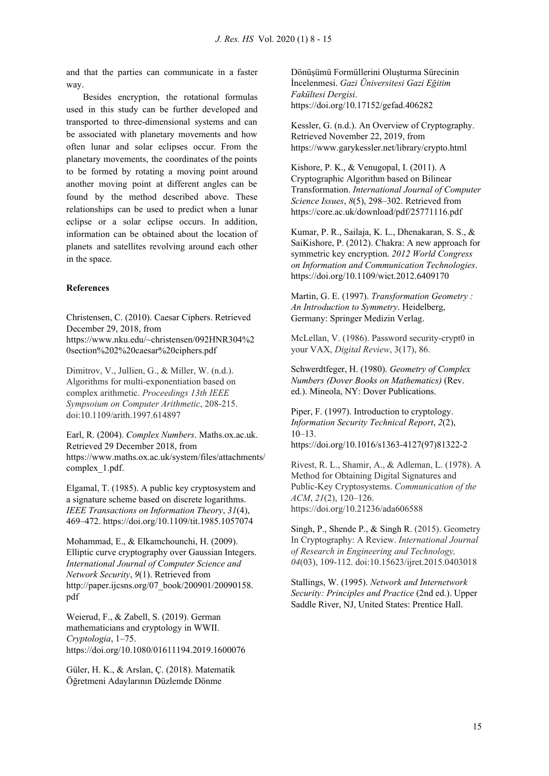and that the parties can communicate in a faster way.

Besides encryption, the rotational formulas used in this study can be further developed and transported to three-dimensional systems and can be associated with planetary movements and how often lunar and solar eclipses occur. From the planetary movements, the coordinates of the points to be formed by rotating a moving point around another moving point at different angles can be found by the method described above. These relationships can be used to predict when a lunar eclipse or a solar eclipse occurs. In addition, information can be obtained about the location of planets and satellites revolving around each other in the space.

## **References**

Christensen, C. (2010). Caesar Ciphers. Retrieved December 29, 2018, from https://www.nku.edu/~christensen/092HNR304%2 0section%202%20caesar%20ciphers.pdf

Dimitrov, V., Jullien, G., & Miller, W. (n.d.). Algorithms for multi-exponentiation based on complex arithmetic. *Proceedings 13th IEEE Sympsoium on Computer Arithmetic*, 208-215. doi:10.1109/arith.1997.614897

Earl, R. (2004). *Complex Numbers*. Maths.ox.ac.uk. Retrieved 29 December 2018, from https://www.maths.ox.ac.uk/system/files/attachments/ complex\_1.pdf.

Elgamal, T. (1985). A public key cryptosystem and a signature scheme based on discrete logarithms. *IEEE Transactions on Information Theory*, *31*(4), 469–472. https://doi.org/10.1109/tit.1985.1057074

Mohammad, E., & Elkamchounchi, H. (2009). Elliptic curve cryptography over Gaussian Integers. *International Journal of Computer Science and Network Security*, *9*(1). Retrieved from http://paper.ijcsns.org/07\_book/200901/20090158. pdf

Weierud, F., & Zabell, S. (2019). German mathematicians and cryptology in WWII. *Cryptologia*, 1–75. https://doi.org/10.1080/01611194.2019.1600076

Güler, H. K., & Arslan, Ç. (2018). Matematik Öğretmeni Adaylarının Düzlemde Dönme

Dönüşümü Formüllerini Oluşturma Sürecinin İncelenmesi. *Gazi Üniversitesi Gazi Eğitim Fakültesi Dergisi*. https://doi.org/10.17152/gefad.406282

Kessler, G. (n.d.). An Overview of Cryptography. Retrieved November 22, 2019, from https://www.garykessler.net/library/crypto.html

Kishore, P. K., & Venugopal, I. (2011). A Cryptographic Algorithm based on Bilinear Transformation. *International Journal of Computer Science Issues*, *8*(5), 298–302. Retrieved from https://core.ac.uk/download/pdf/25771116.pdf

Kumar, P. R., Sailaja, K. L., Dhenakaran, S. S., & SaiKishore, P. (2012). Chakra: A new approach for symmetric key encryption. *2012 World Congress on Information and Communication Technologies*. https://doi.org/10.1109/wict.2012.6409170

Martin, G. E. (1997). *Transformation Geometry : An Introduction to Symmetry*. Heidelberg, Germany: Springer Medizin Verlag.

McLellan, V. (1986). Password security-crypt0 in your VAX, *Digital Review*, 3(17), 86.

Schwerdtfeger, H. (1980). *Geometry of Complex Numbers (Dover Books on Mathematics)* (Rev. ed.). Mineola, NY: Dover Publications.

Piper, F. (1997). Introduction to cryptology. *Information Security Technical Report*, *2*(2), 10–13. https://doi.org/10.1016/s1363-4127(97)81322-2

Rivest, R. L., Shamir, A., & Adleman, L. (1978). A Method for Obtaining Digital Signatures and Public-Key Cryptosystems. *Communication of the ACM*, *21*(2), 120–126. https://doi.org/10.21236/ada606588

Singh, P., Shende P., & Singh R. (2015). Geometry In Cryptography: A Review. *International Journal of Research in Engineering and Technology, 04*(03), 109-112. doi:10.15623/ijret.2015.0403018

Stallings, W. (1995). *Network and Internetwork Security: Principles and Practice* (2nd ed.). Upper Saddle River, NJ, United States: Prentice Hall.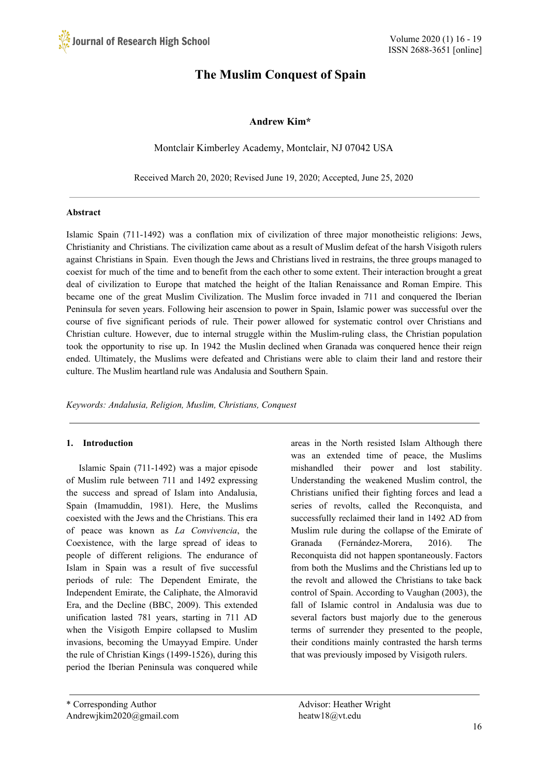# **The Muslim Conquest of Spain**

# **Andrew Kim\***

Montclair Kimberley Academy, Montclair, NJ 07042 USA

Received March 20, 2020; Revised June 19, 2020; Accepted, June 25, 2020

## **Abstract**

Islamic Spain (711-1492) was a conflation mix of civilization of three major monotheistic religions: Jews, Christianity and Christians. The civilization came about as a result of Muslim defeat of the harsh Visigoth rulers against Christians in Spain. Even though the Jews and Christians lived in restrains, the three groups managed to coexist for much of the time and to benefit from the each other to some extent. Their interaction brought a great deal of civilization to Europe that matched the height of the Italian Renaissance and Roman Empire. This became one of the great Muslim Civilization. The Muslim force invaded in 711 and conquered the Iberian Peninsula for seven years. Following heir ascension to power in Spain, Islamic power was successful over the course of five significant periods of rule. Their power allowed for systematic control over Christians and Christian culture. However, due to internal struggle within the Muslim-ruling class, the Christian population took the opportunity to rise up. In 1942 the Muslin declined when Granada was conquered hence their reign ended. Ultimately, the Muslims were defeated and Christians were able to claim their land and restore their culture. The Muslim heartland rule was Andalusia and Southern Spain.

*Keywords: Andalusia, Religion, Muslim, Christians, Conquest*

# **1. Introduction**

Islamic Spain (711-1492) was a major episode of Muslim rule between 711 and 1492 expressing the success and spread of Islam into Andalusia, Spain (Imamuddin, 1981). Here, the Muslims coexisted with the Jews and the Christians. This era of peace was known as *La Convivencia*, the Coexistence, with the large spread of ideas to people of different religions. The endurance of Islam in Spain was a result of five successful periods of rule: The Dependent Emirate, the Independent Emirate, the Caliphate, the Almoravid Era, and the Decline (BBC, 2009). This extended unification lasted 781 years, starting in 711 AD when the Visigoth Empire collapsed to Muslim invasions, becoming the Umayyad Empire. Under the rule of Christian Kings (1499-1526), during this period the Iberian Peninsula was conquered while

areas in the North resisted Islam Although there was an extended time of peace, the Muslims mishandled their power and lost stability. Understanding the weakened Muslim control, the Christians unified their fighting forces and lead a series of revolts, called the Reconquista, and successfully reclaimed their land in 1492 AD from Muslim rule during the collapse of the Emirate of Granada (Fernández-Morera, 2016). The Reconquista did not happen spontaneously. Factors from both the Muslims and the Christians led up to the revolt and allowed the Christians to take back control of Spain. According to Vaughan (2003), the fall of Islamic control in Andalusia was due to several factors bust majorly due to the generous terms of surrender they presented to the people, their conditions mainly contrasted the harsh terms that was previously imposed by Visigoth rulers.

<sup>\*</sup> Corresponding Author Advisor: Heather Wright Andrewjkim2020@gmail.com heatw18@vt.edu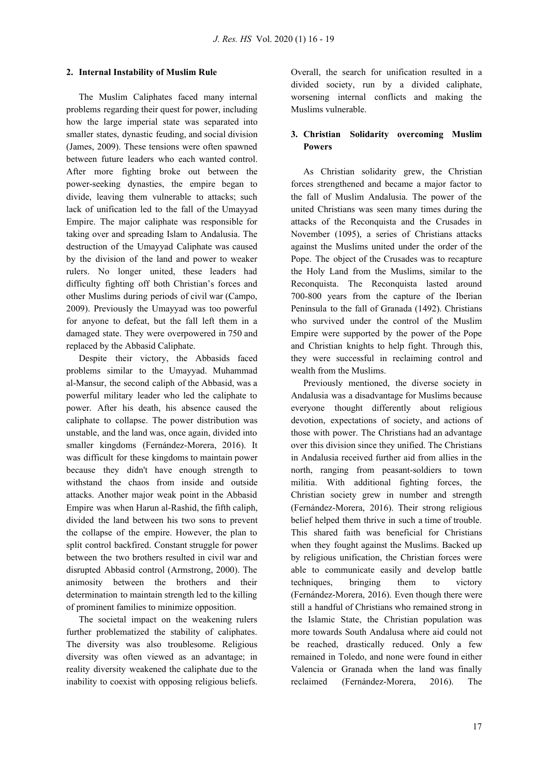# **2. Internal Instability of Muslim Rule**

The Muslim Caliphates faced many internal problems regarding their quest for power, including how the large imperial state was separated into smaller states, dynastic feuding, and social division (James, 2009). These tensions were often spawned between future leaders who each wanted control. After more fighting broke out between the power-seeking dynasties, the empire began to divide, leaving them vulnerable to attacks; such lack of unification led to the fall of the Umayyad Empire. The major caliphate was responsible for taking over and spreading Islam to Andalusia. The destruction of the Umayyad Caliphate was caused by the division of the land and power to weaker rulers. No longer united, these leaders had difficulty fighting off both Christian's forces and other Muslims during periods of civil war (Campo, 2009). Previously the Umayyad was too powerful for anyone to defeat, but the fall left them in a damaged state. They were overpowered in 750 and replaced by the Abbasid Caliphate.

Despite their victory, the Abbasids faced problems similar to the Umayyad. Muhammad al-Mansur, the second caliph of the Abbasid, was a powerful military leader who led the caliphate to power. After his death, his absence caused the caliphate to collapse. The power distribution was unstable, and the land was, once again, divided into smaller kingdoms (Fernández-Morera, 2016). It was difficult for these kingdoms to maintain power because they didn't have enough strength to withstand the chaos from inside and outside attacks. Another major weak point in the Abbasid Empire was when Harun al-Rashid, the fifth caliph, divided the land between his two sons to prevent the collapse of the empire. However, the plan to split control backfired. Constant struggle for power between the two brothers resulted in civil war and disrupted Abbasid control (Armstrong, 2000). The animosity between the brothers and their determination to maintain strength led to the killing of prominent families to minimize opposition.

The societal impact on the weakening rulers further problematized the stability of caliphates. The diversity was also troublesome. Religious diversity was often viewed as an advantage; in reality diversity weakened the caliphate due to the inability to coexist with opposing religious beliefs. Overall, the search for unification resulted in a divided society, run by a divided caliphate, worsening internal conflicts and making the Muslims vulnerable.

# **3. Christian Solidarity overcoming Muslim Powers**

As Christian solidarity grew, the Christian forces strengthened and became a major factor to the fall of Muslim Andalusia. The power of the united Christians was seen many times during the attacks of the Reconquista and the Crusades in November (1095), a series of Christians attacks against the Muslims united under the order of the Pope. The object of the Crusades was to recapture the Holy Land from the Muslims, similar to the Reconquista. The Reconquista lasted around 700-800 years from the capture of the Iberian Peninsula to the fall of Granada (1492). Christians who survived under the control of the Muslim Empire were supported by the power of the Pope and Christian knights to help fight. Through this, they were successful in reclaiming control and wealth from the Muslims.

Previously mentioned, the diverse society in Andalusia was a disadvantage for Muslims because everyone thought differently about religious devotion, expectations of society, and actions of those with power. The Christians had an advantage over this division since they unified. The Christians in Andalusia received further aid from allies in the north, ranging from peasant-soldiers to town militia. With additional fighting forces, the Christian society grew in number and strength (Fernández-Morera, 2016). Their strong religious belief helped them thrive in such a time of trouble. This shared faith was beneficial for Christians when they fought against the Muslims. Backed up by religious unification, the Christian forces were able to communicate easily and develop battle techniques, bringing them to victory (Fernández-Morera, 2016). Even though there were still a handful of Christians who remained strong in the Islamic State, the Christian population was more towards South Andalusa where aid could not be reached, drastically reduced. Only a few remained in Toledo, and none were found in either Valencia or Granada when the land was finally reclaimed (Fernández-Morera, 2016). The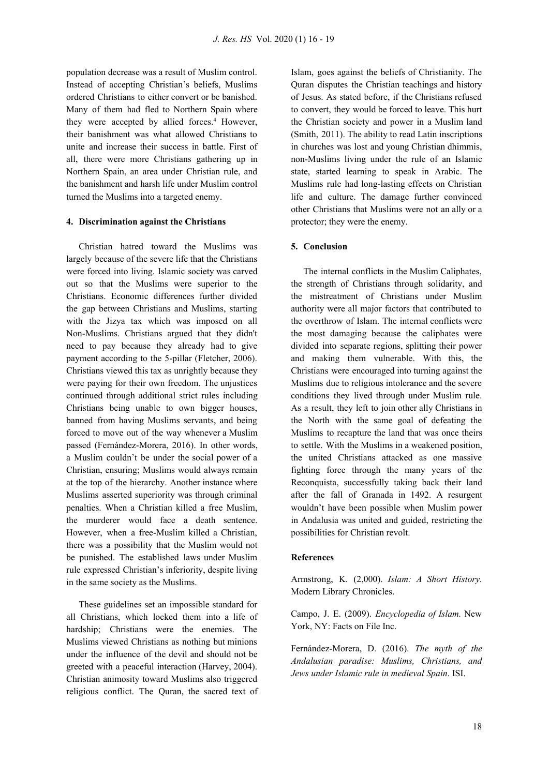population decrease was a result of Muslim control. Instead of accepting Christian's beliefs, Muslims ordered Christians to either convert or be banished. Many of them had fled to Northern Spain where they were accepted by allied forces. <sup>4</sup> However, their banishment was what allowed Christians to unite and increase their success in battle. First of all, there were more Christians gathering up in Northern Spain, an area under Christian rule, and the banishment and harsh life under Muslim control turned the Muslims into a targeted enemy.

## **4. Discrimination against the Christians**

Christian hatred toward the Muslims was largely because of the severe life that the Christians were forced into living. Islamic society was carved out so that the Muslims were superior to the Christians. Economic differences further divided the gap between Christians and Muslims, starting with the Jizya tax which was imposed on all Non-Muslims. Christians argued that they didn't need to pay because they already had to give payment according to the 5-pillar (Fletcher, 2006). Christians viewed this tax as unrightly because they were paying for their own freedom. The unjustices continued through additional strict rules including Christians being unable to own bigger houses, banned from having Muslims servants, and being forced to move out of the way whenever a Muslim passed (Fernández-Morera, 2016). In other words, a Muslim couldn't be under the social power of a Christian, ensuring; Muslims would always remain at the top of the hierarchy. Another instance where Muslims asserted superiority was through criminal penalties. When a Christian killed a free Muslim, the murderer would face a death sentence. However, when a free-Muslim killed a Christian, there was a possibility that the Muslim would not be punished. The established laws under Muslim rule expressed Christian's inferiority, despite living in the same society as the Muslims.

These guidelines set an impossible standard for all Christians, which locked them into a life of hardship; Christians were the enemies. The Muslims viewed Christians as nothing but minions under the influence of the devil and should not be greeted with a peaceful interaction (Harvey, 2004). Christian animosity toward Muslims also triggered religious conflict. The Quran, the sacred text of Islam, goes against the beliefs of Christianity. The Quran disputes the Christian teachings and history of Jesus. As stated before, if the Christians refused to convert, they would be forced to leave. This hurt the Christian society and power in a Muslim land (Smith, 2011). The ability to read Latin inscriptions in churches was lost and young Christian dhimmis, non-Muslims living under the rule of an Islamic state, started learning to speak in Arabic. The Muslims rule had long-lasting effects on Christian life and culture. The damage further convinced other Christians that Muslims were not an ally or a protector; they were the enemy.

## **5. Conclusion**

The internal conflicts in the Muslim Caliphates, the strength of Christians through solidarity, and the mistreatment of Christians under Muslim authority were all major factors that contributed to the overthrow of Islam. The internal conflicts were the most damaging because the caliphates were divided into separate regions, splitting their power and making them vulnerable. With this, the Christians were encouraged into turning against the Muslims due to religious intolerance and the severe conditions they lived through under Muslim rule. As a result, they left to join other ally Christians in the North with the same goal of defeating the Muslims to recapture the land that was once theirs to settle. With the Muslims in a weakened position, the united Christians attacked as one massive fighting force through the many years of the Reconquista, successfully taking back their land after the fall of Granada in 1492. A resurgent wouldn't have been possible when Muslim power in Andalusia was united and guided, restricting the possibilities for Christian revolt.

#### **References**

Armstrong, K. (2,000). *Islam: A Short History.* Modern Library Chronicles.

Campo, J. E. (2009). *Encyclopedia of Islam.* New York, NY: Facts on File Inc.

Fernández-Morera, D. (2016). *The myth of the Andalusian paradise: Muslims, Christians, and Jews under Islamic rule in medieval Spain*. ISI.